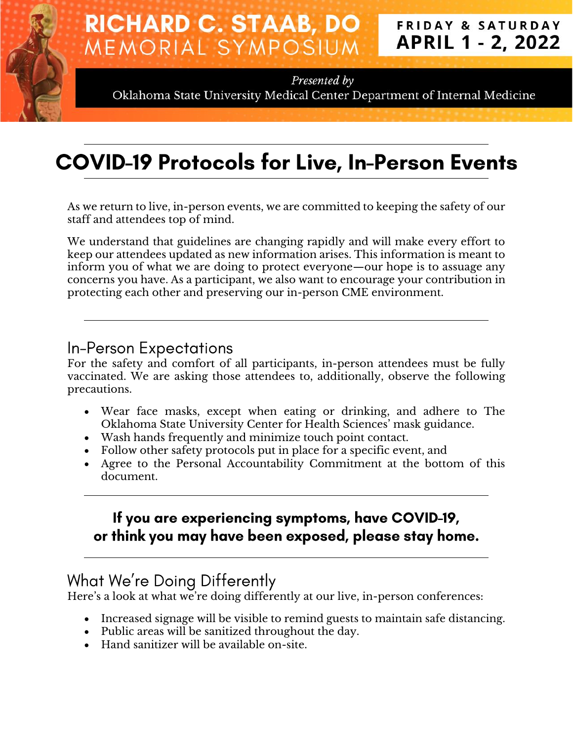#### **RICHARD C. STAAB, DO FRIDAY & SATURDAY APRIL 1 - 2, 2022** MEMORIAL SYMPOSIUM

Presented by

Oklahoma State University Medical Center Department of Internal Medicine

# **COVID-19 Protocols for Live, In-Person Events**

As we return to live, in-person events, we are committed to keeping the safety of our staff and attendees top of mind.

We understand that guidelines are changing rapidly and will make every effort to keep our attendees updated as new information arises. This information is meant to inform you of what we are doing to protect everyone—our hope is to assuage any concerns you have. As a participant, we also want to encourage your contribution in protecting each other and preserving our in-person CME environment.

#### **In-Person Expectations**

For the safety and comfort of all participants, in-person attendees must be fully vaccinated. We are asking those attendees to, additionally, observe the following precautions.

- Wear face masks, except when eating or drinking, and adhere to The Oklahoma State University Center for Health Sciences' mask guidance.
- Wash hands frequently and minimize touch point contact.
- Follow other safety protocols put in place for a specific event, and
- Agree to the Personal Accountability Commitment at the bottom of this document.

#### If you are experiencing symptoms, have COVID-19, or think you may have been exposed, please stay home.

### What We're Doing Differently

Here's a look at what we're doing differently at our live, in-person conferences:

- Increased signage will be visible to remind guests to maintain safe distancing.
- Public areas will be sanitized throughout the day.
- Hand sanitizer will be available on-site.